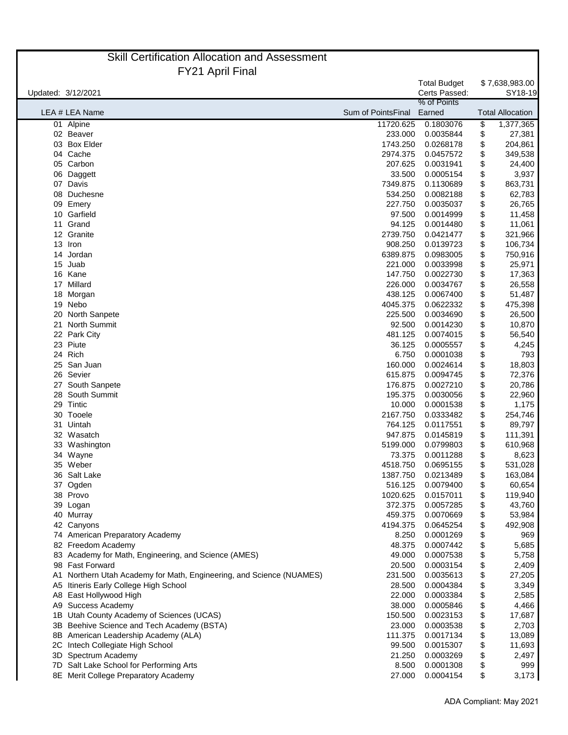|                    | <b>Skill Certification Allocation and Assessment</b>                    |                    |                                      |          |                           |
|--------------------|-------------------------------------------------------------------------|--------------------|--------------------------------------|----------|---------------------------|
|                    | <b>FY21 April Final</b>                                                 |                    |                                      |          |                           |
| Updated: 3/12/2021 |                                                                         |                    | <b>Total Budget</b><br>Certs Passed: |          | \$7,638,983.00<br>SY18-19 |
|                    | LEA # LEA Name                                                          | Sum of PointsFinal | % of Points<br>Earned                |          | <b>Total Allocation</b>   |
|                    | 01 Alpine                                                               | 11720.625          | 0.1803076                            | \$       | 1,377,365                 |
|                    | 02 Beaver                                                               | 233.000            | 0.0035844                            | \$       | 27,381                    |
| 03                 | <b>Box Elder</b>                                                        | 1743.250           | 0.0268178                            | \$       | 204,861                   |
|                    | 04 Cache                                                                | 2974.375           | 0.0457572                            | \$       | 349,538                   |
| 05                 | Carbon                                                                  | 207.625            | 0.0031941                            | \$       | 24,400                    |
| 06                 | Daggett                                                                 | 33.500             | 0.0005154                            | \$       | 3,937                     |
|                    | 07 Davis                                                                | 7349.875           | 0.1130689                            | \$       | 863,731                   |
| 08                 | Duchesne                                                                | 534.250            | 0.0082188                            | \$       | 62,783                    |
| 09                 | Emery                                                                   | 227.750            | 0.0035037                            | \$       | 26,765                    |
|                    | 10 Garfield                                                             | 97.500             | 0.0014999                            | \$       | 11,458                    |
| 11                 | Grand                                                                   | 94.125             | 0.0014480                            | \$       | 11,061                    |
|                    | 12 Granite                                                              | 2739.750           | 0.0421477                            | \$       | 321,966                   |
| 13                 | Iron                                                                    | 908.250            | 0.0139723                            | \$       | 106,734                   |
| 14                 | Jordan                                                                  | 6389.875           | 0.0983005                            | \$       | 750,916                   |
| 15                 | Juab                                                                    | 221.000            | 0.0033998                            | \$       | 25,971                    |
|                    | 16 Kane                                                                 | 147.750            | 0.0022730                            | \$       | 17,363                    |
| 17                 | Millard                                                                 | 226.000            | 0.0034767                            | \$       | 26,558                    |
|                    | 18 Morgan                                                               | 438.125            | 0.0067400                            | \$       | 51,487                    |
|                    | 19 Nebo                                                                 | 4045.375           | 0.0622332                            | \$       | 475,398                   |
| 20                 | North Sanpete                                                           | 225.500            | 0.0034690                            | \$       | 26,500                    |
| 21                 | <b>North Summit</b>                                                     | 92.500             | 0.0014230                            | \$       | 10,870                    |
|                    | 22 Park City                                                            | 481.125            | 0.0074015                            | \$       | 56,540                    |
| 23                 | Piute                                                                   | 36.125             | 0.0005557                            | \$       | 4,245                     |
| 24                 | Rich                                                                    | 6.750              | 0.0001038                            | \$       | 793                       |
| 25                 | San Juan                                                                | 160.000            | 0.0024614                            | \$       | 18,803                    |
| 26                 | Sevier                                                                  | 615.875            | 0.0094745                            | \$       | 72,376                    |
| 27                 | South Sanpete                                                           | 176.875            | 0.0027210                            | \$       | 20,786                    |
| 28                 | South Summit                                                            | 195.375            | 0.0030056                            | \$       | 22,960                    |
| 29                 | Tintic                                                                  | 10.000             | 0.0001538                            | \$       | 1,175                     |
|                    | 30 Tooele                                                               | 2167.750           | 0.0333482                            | \$       | 254,746                   |
|                    | 31 Uintah                                                               | 764.125            | 0.0117551                            | \$       | 89,797                    |
|                    | 32 Wasatch                                                              | 947.875            | 0.0145819                            | \$       | 111,391                   |
|                    | 33 Washington                                                           | 5199.000           | 0.0799803                            | \$       | 610,968                   |
|                    | 34 Wayne                                                                | 73.375             | 0.0011288                            | \$       | 8,623                     |
|                    | 35 Weber                                                                | 4518.750           | 0.0695155                            | \$       | 531,028                   |
|                    | 36 Salt Lake                                                            | 1387.750           | 0.0213489                            | \$       | 163,084                   |
|                    | 37 Ogden                                                                | 516.125            | 0.0079400                            | \$       | 60,654                    |
|                    | 38 Provo                                                                | 1020.625           | 0.0157011                            | \$       | 119,940                   |
|                    | 39 Logan                                                                | 372.375            | 0.0057285                            | \$       | 43,760                    |
|                    | 40 Murray                                                               | 459.375            | 0.0070669                            | \$       | 53,984                    |
|                    | 42 Canyons                                                              | 4194.375           | 0.0645254                            | \$       | 492,908                   |
|                    | 74 American Preparatory Academy                                         | 8.250              | 0.0001269                            | \$       | 969                       |
|                    | 82 Freedom Academy                                                      | 48.375             | 0.0007442                            | \$       | 5,685                     |
|                    | 83 Academy for Math, Engineering, and Science (AMES)<br>98 Fast Forward | 49.000             | 0.0007538                            | \$       | 5,758                     |
|                    |                                                                         | 20.500             | 0.0003154                            | \$       | 2,409                     |
| A1                 | Northern Utah Academy for Math, Engineering, and Science (NUAMES)       | 231.500<br>28.500  | 0.0035613                            | \$       | 27,205                    |
| A5                 | Itineris Early College High School                                      | 22.000             | 0.0004384<br>0.0003384               | \$       | 3,349                     |
| A <sub>8</sub>     | East Hollywood High                                                     |                    |                                      | \$       | 2,585                     |
| A9<br>1B           | Success Academy<br>Utah County Academy of Sciences (UCAS)               | 38.000<br>150.500  | 0.0005846<br>0.0023153               | \$       | 4,466<br>17,687           |
|                    | 3B Beehive Science and Tech Academy (BSTA)                              | 23.000             | 0.0003538                            | \$<br>\$ | 2,703                     |
|                    | 8B American Leadership Academy (ALA)                                    | 111.375            | 0.0017134                            | \$       | 13,089                    |
| 2C                 | Intech Collegiate High School                                           | 99.500             | 0.0015307                            | \$       | 11,693                    |
| 3D                 | Spectrum Academy                                                        | 21.250             | 0.0003269                            | \$       | 2,497                     |
| 7D.                | Salt Lake School for Performing Arts                                    | 8.500              | 0.0001308                            | \$       | 999                       |
|                    | 8E Merit College Preparatory Academy                                    | 27.000             | 0.0004154                            | \$       | 3,173                     |